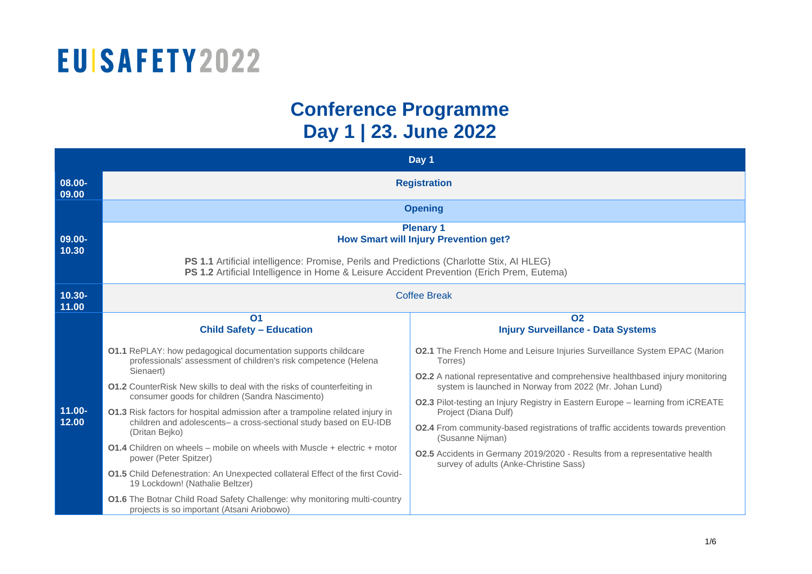#### **Conference Programme Day 1 | 23. June 2022**

|                    | Day 1                                                                                                                                                                                  |                                                                                                                                                  |  |  |
|--------------------|----------------------------------------------------------------------------------------------------------------------------------------------------------------------------------------|--------------------------------------------------------------------------------------------------------------------------------------------------|--|--|
| 08.00-<br>09.00    | <b>Registration</b>                                                                                                                                                                    |                                                                                                                                                  |  |  |
|                    | <b>Opening</b>                                                                                                                                                                         |                                                                                                                                                  |  |  |
| 09.00-<br>10.30    | <b>Plenary 1</b><br><b>How Smart will Injury Prevention get?</b>                                                                                                                       |                                                                                                                                                  |  |  |
|                    | PS 1.1 Artificial intelligence: Promise, Perils and Predictions (Charlotte Stix, Al HLEG)<br>PS 1.2 Artificial Intelligence in Home & Leisure Accident Prevention (Erich Prem, Eutema) |                                                                                                                                                  |  |  |
| $10.30 -$<br>11.00 | <b>Coffee Break</b>                                                                                                                                                                    |                                                                                                                                                  |  |  |
|                    | O <sub>1</sub><br><b>Child Safety - Education</b>                                                                                                                                      | <b>O2</b><br><b>Injury Surveillance - Data Systems</b>                                                                                           |  |  |
|                    | <b>01.1</b> RePLAY: how pedagogical documentation supports childcare<br>professionals' assessment of children's risk competence (Helena                                                | 02.1 The French Home and Leisure Injuries Surveillance System EPAC (Marion<br>Torres)                                                            |  |  |
|                    | Sienaert)<br><b>01.2</b> CounterRisk New skills to deal with the risks of counterfeiting in                                                                                            | <b>02.2</b> A national representative and comprehensive healthbased injury monitoring<br>system is launched in Norway from 2022 (Mr. Johan Lund) |  |  |
| $11.00 -$          | consumer goods for children (Sandra Nascimento)<br>01.3 Risk factors for hospital admission after a trampoline related injury in                                                       | 02.3 Pilot-testing an Injury Registry in Eastern Europe - learning from iCREATE<br>Project (Diana Dulf)                                          |  |  |
| 12.00              | children and adolescents- a cross-sectional study based on EU-IDB<br>(Dritan Bejko)                                                                                                    | <b>O2.4</b> From community-based registrations of traffic accidents towards prevention<br>(Susanne Nijman)                                       |  |  |
|                    | <b>01.4</b> Children on wheels – mobile on wheels with Muscle + electric + motor<br>power (Peter Spitzer)                                                                              | 02.5 Accidents in Germany 2019/2020 - Results from a representative health<br>survey of adults (Anke-Christine Sass)                             |  |  |
|                    | 01.5 Child Defenestration: An Unexpected collateral Effect of the first Covid-<br>19 Lockdown! (Nathalie Beltzer)                                                                      |                                                                                                                                                  |  |  |
|                    | 01.6 The Botnar Child Road Safety Challenge: why monitoring multi-country<br>projects is so important (Atsani Ariobowo)                                                                |                                                                                                                                                  |  |  |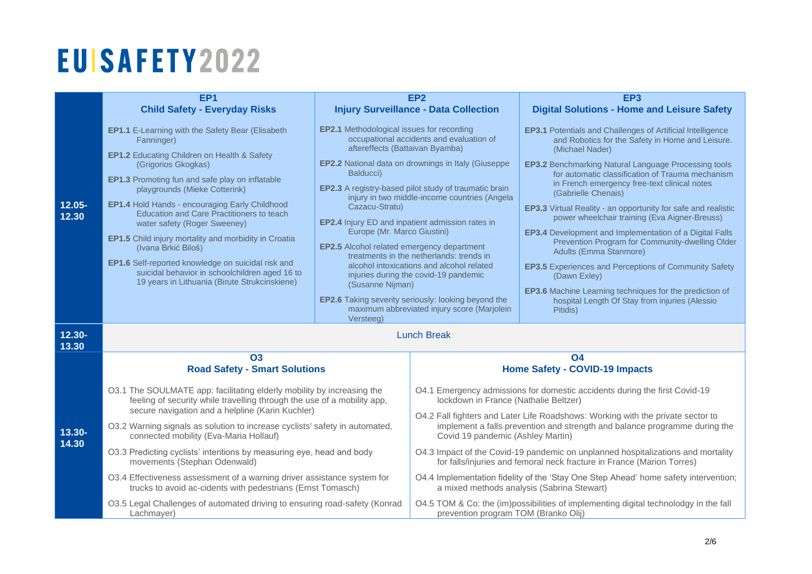|                    |                                                                                                                                                                                                       | EP <sub>2</sub>                                                                                                                                                                                                                                                                                                      |                                                                                                                                                                                                    |                                                                                                                                          |  |
|--------------------|-------------------------------------------------------------------------------------------------------------------------------------------------------------------------------------------------------|----------------------------------------------------------------------------------------------------------------------------------------------------------------------------------------------------------------------------------------------------------------------------------------------------------------------|----------------------------------------------------------------------------------------------------------------------------------------------------------------------------------------------------|------------------------------------------------------------------------------------------------------------------------------------------|--|
|                    | EP <sub>1</sub><br><b>Child Safety - Everyday Risks</b>                                                                                                                                               |                                                                                                                                                                                                                                                                                                                      | <b>Injury Surveillance - Data Collection</b>                                                                                                                                                       | EP <sub>3</sub><br><b>Digital Solutions - Home and Leisure Safety</b>                                                                    |  |
|                    |                                                                                                                                                                                                       |                                                                                                                                                                                                                                                                                                                      |                                                                                                                                                                                                    |                                                                                                                                          |  |
|                    | <b>EP1.1</b> E-Learning with the Safety Bear (Elisabeth<br>Fanninger)                                                                                                                                 | <b>EP2.1</b> Methodological issues for recording<br>occupational accidents and evaluation of<br>aftereffects (Battaivan Byamba)<br><b>EP2.2</b> National data on drownings in Italy (Giuseppe<br>Balducci)<br>EP2.3 A registry-based pilot study of traumatic brain<br>injury in two middle-income countries (Angela |                                                                                                                                                                                                    | <b>EP3.1</b> Potentials and Challenges of Artificial Intelligence<br>and Robotics for the Safety in Home and Leisure.<br>(Michael Nader) |  |
|                    | EP1.2 Educating Children on Health & Safety<br>(Grigorios Gkogkas)                                                                                                                                    |                                                                                                                                                                                                                                                                                                                      |                                                                                                                                                                                                    | <b>EP3.2</b> Benchmarking Natural Language Processing tools<br>for automatic classification of Trauma mechanism                          |  |
|                    | <b>EP1.3</b> Promoting fun and safe play on inflatable<br>playgrounds (Mieke Cotterink)                                                                                                               |                                                                                                                                                                                                                                                                                                                      |                                                                                                                                                                                                    | in French emergency free-text clinical notes<br>(Gabrielle Chenais)                                                                      |  |
| $12.05 -$<br>12.30 | EP1.4 Hold Hands - encouraging Early Childhood<br>Education and Care Practitioners to teach<br>water safety (Roger Sweeney)                                                                           | Cazacu-Stratu)<br>EP2.4 Injury ED and inpatient admission rates in<br>Europe (Mr. Marco Giustini)<br>EP2.5 Alcohol related emergency department<br>treatments in the netherlands: trends in<br>alcohol intoxications and alcohol related<br>injuries during the covid-19 pandemic                                    |                                                                                                                                                                                                    | EP3.3 Virtual Reality - an opportunity for safe and realistic<br>power wheelchair training (Eva Aigner-Breuss)                           |  |
|                    | EP1.5 Child injury mortality and morbidity in Croatia<br>(Ivana Brkić Biloš)                                                                                                                          |                                                                                                                                                                                                                                                                                                                      | <b>EP3.4</b> Development and Implementation of a Digital Falls<br>Prevention Program for Community-dwelling Older<br>Adults (Emma Stanmore)                                                        |                                                                                                                                          |  |
|                    | EP1.6 Self-reported knowledge on suicidal risk and<br>suicidal behavior in schoolchildren aged 16 to<br>19 years in Lithuania (Birute Strukcinskiene)                                                 |                                                                                                                                                                                                                                                                                                                      |                                                                                                                                                                                                    | <b>EP3.5</b> Experiences and Perceptions of Community Safety<br>(Dawn Exley)                                                             |  |
|                    |                                                                                                                                                                                                       | (Susanne Nijman)<br><b>EP2.6</b> Taking severity seriously: looking beyond the<br>maximum abbreviated injury score (Marjolein                                                                                                                                                                                        |                                                                                                                                                                                                    | EP3.6 Machine Learning techniques for the prediction of<br>hospital Length Of Stay from injuries (Alessio<br>Pitidis)                    |  |
|                    |                                                                                                                                                                                                       | Versteeg)                                                                                                                                                                                                                                                                                                            |                                                                                                                                                                                                    |                                                                                                                                          |  |
| 12.30-<br>13.30    | <b>Lunch Break</b>                                                                                                                                                                                    |                                                                                                                                                                                                                                                                                                                      |                                                                                                                                                                                                    |                                                                                                                                          |  |
|                    | <b>O3</b>                                                                                                                                                                                             |                                                                                                                                                                                                                                                                                                                      |                                                                                                                                                                                                    | <b>O4</b>                                                                                                                                |  |
|                    | <b>Road Safety - Smart Solutions</b>                                                                                                                                                                  |                                                                                                                                                                                                                                                                                                                      | <b>Home Safety - COVID-19 Impacts</b>                                                                                                                                                              |                                                                                                                                          |  |
| 13.30-<br>14.30    | O3.1 The SOULMATE app: facilitating elderly mobility by increasing the<br>feeling of security while travelling through the use of a mobility app,<br>secure navigation and a helpline (Karin Kuchler) |                                                                                                                                                                                                                                                                                                                      | O4.1 Emergency admissions for domestic accidents during the first Covid-19<br>lockdown in France (Nathalie Beltzer)                                                                                |                                                                                                                                          |  |
|                    | O3.2 Warning signals as solution to increase cyclists' safety in automated,<br>connected mobility (Eva-Maria Hollauf)                                                                                 |                                                                                                                                                                                                                                                                                                                      | O4.2 Fall fighters and Later Life Roadshows: Working with the private sector to<br>implement a falls prevention and strength and balance programme during the<br>Covid 19 pandemic (Ashley Martin) |                                                                                                                                          |  |
|                    | O3.3 Predicting cyclists' intentions by measuring eye, head and body<br>movements (Stephan Odenwald)                                                                                                  |                                                                                                                                                                                                                                                                                                                      | O4.3 Impact of the Covid-19 pandemic on unplanned hospitalizations and mortality<br>for falls/injuries and femoral neck fracture in France (Marion Torres)                                         |                                                                                                                                          |  |
|                    | O3.4 Effectiveness assessment of a warning driver assistance system for<br>trucks to avoid ac-cidents with pedestrians (Ernst Tomasch)                                                                |                                                                                                                                                                                                                                                                                                                      | O4.4 Implementation fidelity of the 'Stay One Step Ahead' home safety intervention;<br>a mixed methods analysis (Sabrina Stewart)                                                                  |                                                                                                                                          |  |
|                    | O3.5 Legal Challenges of automated driving to ensuring road-safety (Konrad<br>Lachmayer)                                                                                                              |                                                                                                                                                                                                                                                                                                                      | prevention program TOM (Branko Olij)                                                                                                                                                               | O4.5 TOM & Co: the (im)possibilities of implementing digital technolodgy in the fall                                                     |  |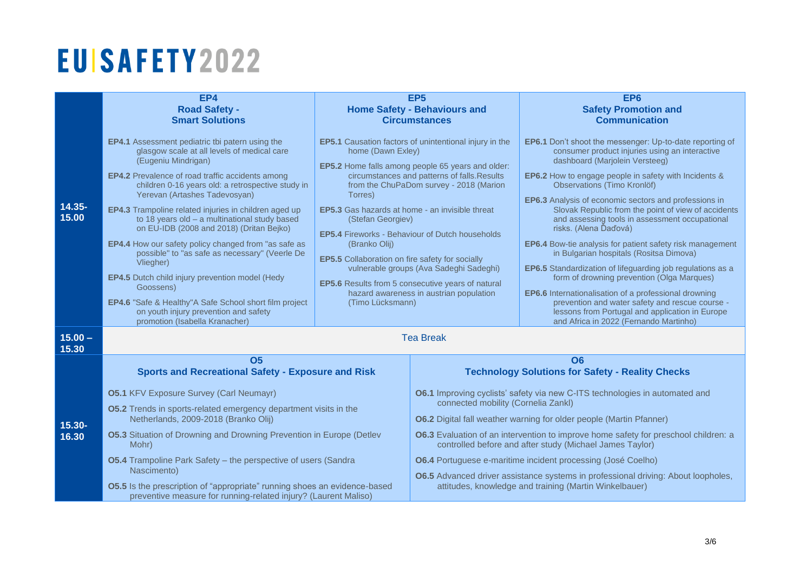|                    | EP4<br><b>Road Safety -</b><br><b>Smart Solutions</b>                                                                                                                                                                                                                                                                                                                                                                                                                                                                                                                                                                                                                                                                                                                  | EP <sub>5</sub><br><b>Home Safety - Behaviours and</b><br><b>Circumstances</b>                                                                                                                             |                                                                                                                                                                                                                                                                                                                                                                                                                                                                                                                                                                                                                                                                 | EP <sub>6</sub><br><b>Safety Promotion and</b><br><b>Communication</b>                                                                                                                                                                                                                                                                                                                                                                                                                                                                                                                                                                                                                                                                                                                                                                                                                                 |  |  |
|--------------------|------------------------------------------------------------------------------------------------------------------------------------------------------------------------------------------------------------------------------------------------------------------------------------------------------------------------------------------------------------------------------------------------------------------------------------------------------------------------------------------------------------------------------------------------------------------------------------------------------------------------------------------------------------------------------------------------------------------------------------------------------------------------|------------------------------------------------------------------------------------------------------------------------------------------------------------------------------------------------------------|-----------------------------------------------------------------------------------------------------------------------------------------------------------------------------------------------------------------------------------------------------------------------------------------------------------------------------------------------------------------------------------------------------------------------------------------------------------------------------------------------------------------------------------------------------------------------------------------------------------------------------------------------------------------|--------------------------------------------------------------------------------------------------------------------------------------------------------------------------------------------------------------------------------------------------------------------------------------------------------------------------------------------------------------------------------------------------------------------------------------------------------------------------------------------------------------------------------------------------------------------------------------------------------------------------------------------------------------------------------------------------------------------------------------------------------------------------------------------------------------------------------------------------------------------------------------------------------|--|--|
| $14.35 -$<br>15.00 | <b>EP4.1</b> Assessment pediatric tbi patern using the<br>glasgow scale at all levels of medical care<br>(Eugeniu Mindrigan)<br><b>EP4.2</b> Prevalence of road traffic accidents among<br>children 0-16 years old: a retrospective study in<br>Yerevan (Artashes Tadevosyan)<br>EP4.3 Trampoline related injuries in children aged up<br>to 18 years old - a multinational study based<br>on EU-IDB (2008 and 2018) (Dritan Bejko)<br>EP4.4 How our safety policy changed from "as safe as<br>possible" to "as safe as necessary" (Veerle De<br>Vliegher)<br><b>EP4.5</b> Dutch child injury prevention model (Hedy<br>Goossens)<br>EP4.6 "Safe & Healthy"A Safe School short film project<br>on youth injury prevention and safety<br>promotion (Isabella Kranacher) | home (Dawn Exley)<br>Torres)<br><b>EP5.3</b> Gas hazards at home - an invisible threat<br>(Stefan Georgiev)<br>(Branko Olij)<br><b>EP5.5</b> Collaboration on fire safety for socially<br>(Timo Lücksmann) | <b>EP5.1</b> Causation factors of unintentional injury in the<br><b>EP5.2</b> Home falls among people 65 years and older:<br>circumstances and patterns of falls. Results<br>from the ChuPaDom survey - 2018 (Marion<br><b>EP5.4 Fireworks - Behaviour of Dutch households</b><br>vulnerable groups (Ava Sadeghi Sadeghi)<br>EP5.6 Results from 5 consecutive years of natural<br>hazard awareness in austrian population                                                                                                                                                                                                                                       | <b>EP6.1</b> Don't shoot the messenger: Up-to-date reporting of<br>consumer product injuries using an interactive<br>dashboard (Marjolein Versteeg)<br><b>EP6.2</b> How to engage people in safety with Incidents &<br><b>Observations (Timo Kronlöf)</b><br><b>EP6.3</b> Analysis of economic sectors and professions in<br>Slovak Republic from the point of view of accidents<br>and assessing tools in assessment occupational<br>risks. (Alena Ďaďová)<br>EP6.4 Bow-tie analysis for patient safety risk management<br>in Bulgarian hospitals (Rositsa Dimova)<br><b>EP6.5</b> Standardization of lifeguarding job regulations as a<br>form of drowning prevention (Olga Marques)<br><b>EP6.6</b> Internationalisation of a professional drowning<br>prevention and water safety and rescue course -<br>lessons from Portugal and application in Europe<br>and Africa in 2022 (Fernando Martinho) |  |  |
| $15.00 -$<br>15.30 | <b>Tea Break</b>                                                                                                                                                                                                                                                                                                                                                                                                                                                                                                                                                                                                                                                                                                                                                       |                                                                                                                                                                                                            |                                                                                                                                                                                                                                                                                                                                                                                                                                                                                                                                                                                                                                                                 |                                                                                                                                                                                                                                                                                                                                                                                                                                                                                                                                                                                                                                                                                                                                                                                                                                                                                                        |  |  |
| $15.30 -$<br>16.30 | <b>O5</b><br><b>Sports and Recreational Safety - Exposure and Risk</b><br><b>05.1 KFV Exposure Survey (Carl Neumayr)</b><br><b>05.2</b> Trends in sports-related emergency department visits in the<br>Netherlands, 2009-2018 (Branko Olij)<br><b>05.3 Situation of Drowning and Drowning Prevention in Europe (Detlev</b><br>Mohr)<br><b>05.4</b> Trampoline Park Safety - the perspective of users (Sandra<br>Nascimento)<br><b>O5.5</b> Is the prescription of "appropriate" running shoes an evidence-based<br>preventive measure for running-related injury? (Laurent Maliso)                                                                                                                                                                                     |                                                                                                                                                                                                            | <b>O6</b><br><b>Technology Solutions for Safety - Reality Checks</b><br><b>O6.1</b> Improving cyclists' safety via new C-ITS technologies in automated and<br>connected mobility (Cornelia Zankl)<br><b>O6.2</b> Digital fall weather warning for older people (Martin Pfanner)<br>06.3 Evaluation of an intervention to improve home safety for preschool children: a<br>controlled before and after study (Michael James Taylor)<br><b>O6.4</b> Portuguese e-maritime incident processing (José Coelho)<br><b>O6.5</b> Advanced driver assistance systems in professional driving: About loopholes,<br>attitudes, knowledge and training (Martin Winkelbauer) |                                                                                                                                                                                                                                                                                                                                                                                                                                                                                                                                                                                                                                                                                                                                                                                                                                                                                                        |  |  |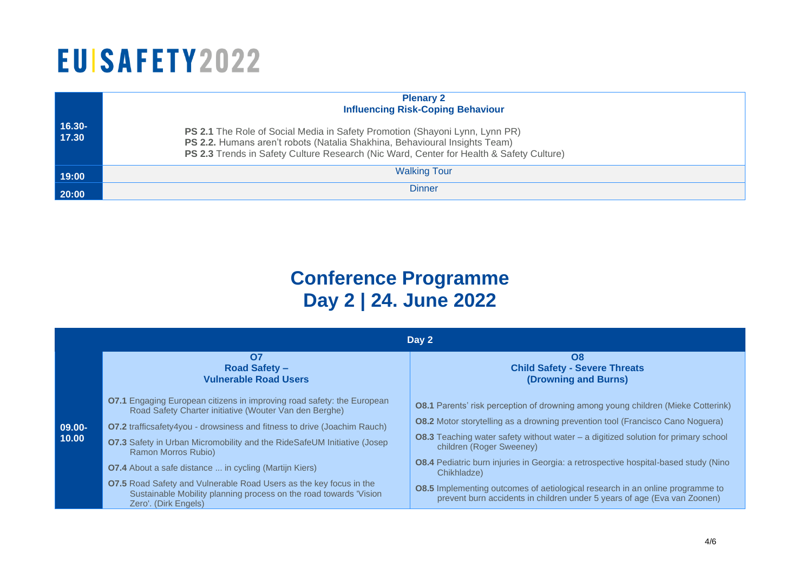|                 | <b>Plenary 2</b><br><b>Influencing Risk-Coping Behaviour</b>                                                                                                                                                                                         |
|-----------------|------------------------------------------------------------------------------------------------------------------------------------------------------------------------------------------------------------------------------------------------------|
| 16.30-<br>17.30 | PS 2.1 The Role of Social Media in Safety Promotion (Shayoni Lynn, Lynn PR)<br>PS 2.2. Humans aren't robots (Natalia Shakhina, Behavioural Insights Team)<br>PS 2.3 Trends in Safety Culture Research (Nic Ward, Center for Health & Safety Culture) |
| 19:00           | <b>Walking Tour</b>                                                                                                                                                                                                                                  |
| 20:00           | <b>Dinner</b>                                                                                                                                                                                                                                        |

### **Conference Programme Day 2 | 24. June 2022**

|                    | Day 2                                                                                                                                                                                                                                                                                                                                                                                                                                                                                                                                                                          |                                                                                                                                                                                                                                                                                                                                                                                                                                                                                                                                                                                       |  |  |  |
|--------------------|--------------------------------------------------------------------------------------------------------------------------------------------------------------------------------------------------------------------------------------------------------------------------------------------------------------------------------------------------------------------------------------------------------------------------------------------------------------------------------------------------------------------------------------------------------------------------------|---------------------------------------------------------------------------------------------------------------------------------------------------------------------------------------------------------------------------------------------------------------------------------------------------------------------------------------------------------------------------------------------------------------------------------------------------------------------------------------------------------------------------------------------------------------------------------------|--|--|--|
|                    | <b>O7</b><br><b>Road Safety -</b><br><b>Vulnerable Road Users</b>                                                                                                                                                                                                                                                                                                                                                                                                                                                                                                              | O <sub>8</sub><br><b>Child Safety - Severe Threats</b><br>(Drowning and Burns)                                                                                                                                                                                                                                                                                                                                                                                                                                                                                                        |  |  |  |
| $09.00 -$<br>10.00 | <b>O7.1</b> Engaging European citizens in improving road safety: the European<br>Road Safety Charter initiative (Wouter Van den Berghe)<br><b>O7.2</b> trafficsafety4you - drowsiness and fitness to drive (Joachim Rauch)<br><b>07.3</b> Safety in Urban Micromobility and the RideSafeUM Initiative (Josep<br>Ramon Morros Rubio)<br><b>O7.4</b> About a safe distance  in cycling (Martijn Kiers)<br><b>07.5</b> Road Safety and Vulnerable Road Users as the key focus in the<br>Sustainable Mobility planning process on the road towards 'Vision<br>Zero'. (Dirk Engels) | <b>O8.1</b> Parents' risk perception of drowning among young children (Mieke Cotterink)<br><b>08.2</b> Motor storytelling as a drowning prevention tool (Francisco Cano Noguera)<br><b>O8.3</b> Teaching water safety without water $-$ a digitized solution for primary school<br>children (Roger Sweeney)<br>08.4 Pediatric burn injuries in Georgia: a retrospective hospital-based study (Nino<br>Chikhladze)<br><b>08.5</b> Implementing outcomes of aetiological research in an online programme to<br>prevent burn accidents in children under 5 years of age (Eva van Zoonen) |  |  |  |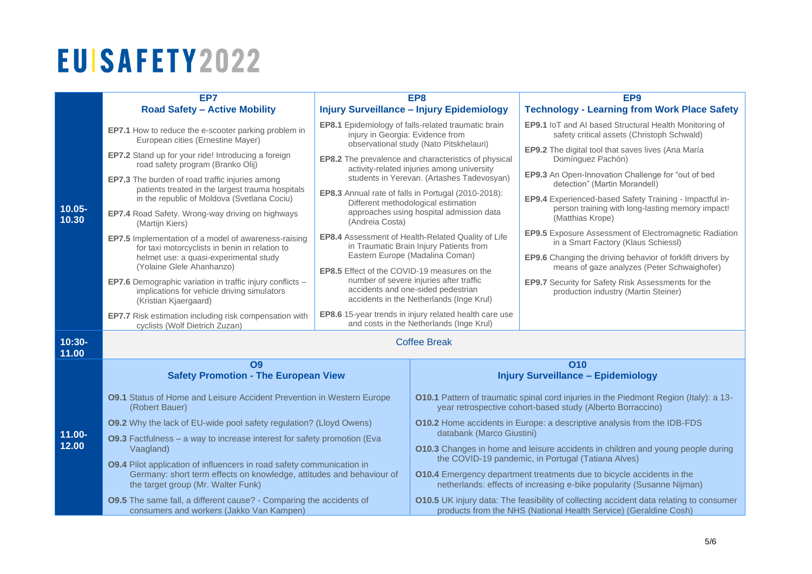|                    | EP7                                                                                                                                                                                 | EP8                                                                                                                                                                                                                                                                                                           |                                                                                                                                                                                                      | EP <sub>9</sub>                                                                                                                 |  |
|--------------------|-------------------------------------------------------------------------------------------------------------------------------------------------------------------------------------|---------------------------------------------------------------------------------------------------------------------------------------------------------------------------------------------------------------------------------------------------------------------------------------------------------------|------------------------------------------------------------------------------------------------------------------------------------------------------------------------------------------------------|---------------------------------------------------------------------------------------------------------------------------------|--|
|                    | <b>Road Safety - Active Mobility</b>                                                                                                                                                | <b>Injury Surveillance - Injury Epidemiology</b>                                                                                                                                                                                                                                                              |                                                                                                                                                                                                      | <b>Technology - Learning from Work Place Safety</b>                                                                             |  |
| $10.05 -$<br>10.30 | EP7.1 How to reduce the e-scooter parking problem in<br>European cities (Ernestine Mayer)                                                                                           | EP8.1 Epidemiology of falls-related traumatic brain<br>injury in Georgia: Evidence from<br>observational study (Nato Pitskhelauri)                                                                                                                                                                            |                                                                                                                                                                                                      | EP9.1 IoT and AI based Structural Health Monitoring of<br>safety critical assets (Christoph Schwald)                            |  |
|                    | EP7.2 Stand up for your ride! Introducing a foreign<br>road safety program (Branko Olij)                                                                                            | EP8.2 The prevalence and characteristics of physical<br>activity-related injuries among university<br>students in Yerevan. (Artashes Tadevosyan)<br>EP8.3 Annual rate of falls in Portugal (2010-2018):<br>Different methodological estimation<br>approaches using hospital admission data<br>(Andreia Costa) |                                                                                                                                                                                                      | EP9.2 The digital tool that saves lives (Ana María<br>Domínguez Pachón)                                                         |  |
|                    | EP7.3 The burden of road traffic injuries among<br>patients treated in the largest trauma hospitals                                                                                 |                                                                                                                                                                                                                                                                                                               |                                                                                                                                                                                                      | EP9.3 An Open-Innovation Challenge for "out of bed<br>detection" (Martin Morandell)                                             |  |
|                    | in the republic of Moldova (Svetlana Cociu)<br>EP7.4 Road Safety. Wrong-way driving on highways<br>(Martijn Kiers)                                                                  |                                                                                                                                                                                                                                                                                                               |                                                                                                                                                                                                      | EP9.4 Experienced-based Safety Training - Impactful in-<br>person training with long-lasting memory impact!<br>(Matthias Krope) |  |
|                    | EP7.5 Implementation of a model of awareness-raising<br>for taxi motorcyclists in benin in relation to                                                                              | EP8.4 Assessment of Health-Related Quality of Life<br>in Traumatic Brain Injury Patients from                                                                                                                                                                                                                 |                                                                                                                                                                                                      | <b>EP9.5</b> Exposure Assessment of Electromagnetic Radiation<br>in a Smart Factory (Klaus Schiessl)                            |  |
|                    | helmet use: a quasi-experimental study<br>(Yolaine Glele Ahanhanzo)                                                                                                                 | <b>EP8.5</b> Effect of the COVID-19 measures on the                                                                                                                                                                                                                                                           | Eastern Europe (Madalina Coman)                                                                                                                                                                      | <b>EP9.6</b> Changing the driving behavior of forklift drivers by<br>means of gaze analyzes (Peter Schwaighofer)                |  |
|                    | <b>EP7.6</b> Demographic variation in traffic injury conflicts -<br>implications for vehicle driving simulators<br>(Kristian Kjaergaard)                                            | number of severe injuries after traffic<br>accidents and one-sided pedestrian<br>accidents in the Netherlands (Inge Krul)                                                                                                                                                                                     |                                                                                                                                                                                                      | EP9.7 Security for Safety Risk Assessments for the<br>production industry (Martin Steiner)                                      |  |
|                    | EP7.7 Risk estimation including risk compensation with<br>cyclists (Wolf Dietrich Zuzan)                                                                                            | EP8.6 15-year trends in injury related health care use<br>and costs in the Netherlands (Inge Krul)                                                                                                                                                                                                            |                                                                                                                                                                                                      |                                                                                                                                 |  |
| $10:30-$<br>11.00  | <b>Coffee Break</b>                                                                                                                                                                 |                                                                                                                                                                                                                                                                                                               |                                                                                                                                                                                                      |                                                                                                                                 |  |
|                    | <b>O9</b>                                                                                                                                                                           |                                                                                                                                                                                                                                                                                                               | <b>O10</b>                                                                                                                                                                                           |                                                                                                                                 |  |
|                    | <b>Safety Promotion - The European View</b>                                                                                                                                         |                                                                                                                                                                                                                                                                                                               | <b>Injury Surveillance - Epidemiology</b>                                                                                                                                                            |                                                                                                                                 |  |
|                    | <b>09.1</b> Status of Home and Leisure Accident Prevention in Western Europe<br>(Robert Bauer)                                                                                      |                                                                                                                                                                                                                                                                                                               | <b>O10.1</b> Pattern of traumatic spinal cord injuries in the Piedmont Region (Italy): a 13-<br>year retrospective cohort-based study (Alberto Borraccino)                                           |                                                                                                                                 |  |
|                    | <b>09.2</b> Why the lack of EU-wide pool safety regulation? (Lloyd Owens)                                                                                                           |                                                                                                                                                                                                                                                                                                               | <b>O10.2</b> Home accidents in Europe: a descriptive analysis from the IDB-FDS<br>databank (Marco Giustini)                                                                                          |                                                                                                                                 |  |
| $11.00 -$<br>12.00 | 09.3 Factfulness - a way to increase interest for safety promotion (Eva<br>Vaagland)                                                                                                |                                                                                                                                                                                                                                                                                                               | <b>O10.3</b> Changes in home and leisure accidents in children and young people during                                                                                                               |                                                                                                                                 |  |
|                    | 09.4 Pilot application of influencers in road safety communication in<br>Germany: short term effects on knowledge, attitudes and behaviour of<br>the target group (Mr. Walter Funk) |                                                                                                                                                                                                                                                                                                               | the COVID-19 pandemic, in Portugal (Tatiana Alves)<br>010.4 Emergency department treatments due to bicycle accidents in the<br>netherlands: effects of increasing e-bike popularity (Susanne Nijman) |                                                                                                                                 |  |
|                    | 09.5 The same fall, a different cause? - Comparing the accidents of<br>consumers and workers (Jakko Van Kampen)                                                                     |                                                                                                                                                                                                                                                                                                               | 010.5 UK injury data: The feasibility of collecting accident data relating to consumer<br>products from the NHS (National Health Service) (Geraldine Cosh)                                           |                                                                                                                                 |  |